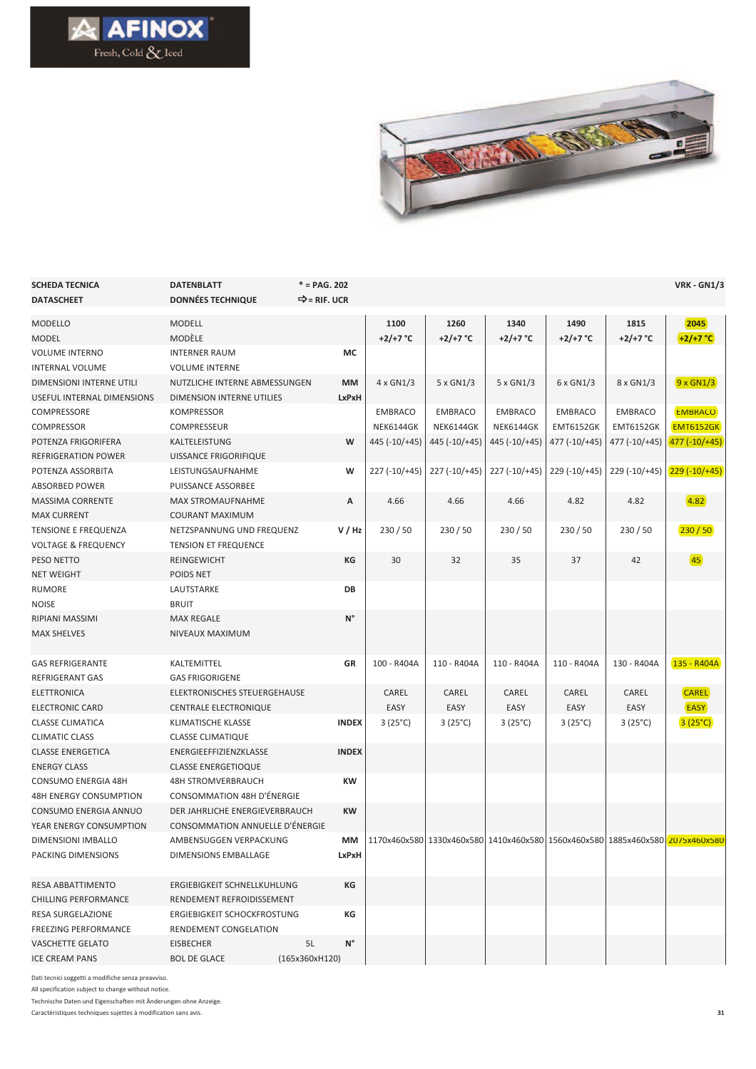



| <b>SCHEDA TECNICA</b>          | <b>DATENBLATT</b>                 | $* = PAG. 202$           |                    |                    |                         |                    |                                                                               | <b>VRK - GN1/3</b> |
|--------------------------------|-----------------------------------|--------------------------|--------------------|--------------------|-------------------------|--------------------|-------------------------------------------------------------------------------|--------------------|
| <b>DATASCHEET</b>              | <b>DONNÉES TECHNIQUE</b>          | $\Rightarrow$ = RIF. UCR |                    |                    |                         |                    |                                                                               |                    |
| <b>MODELLO</b>                 | <b>MODELL</b>                     |                          | 1100               | 1260               | 1340                    | 1490               | 1815                                                                          | 2045               |
| <b>MODEL</b>                   | MODÈLE                            |                          | +2/+7 $^{\circ}$ C | +2/+7 $^{\circ}$ C | +2/+7 $^{\circ}$ C      | +2/+7 $^{\circ}$ C | +2/+7 $^{\circ}$ C                                                            | $+2/+7 °C$         |
| <b>VOLUME INTERNO</b>          | <b>INTERNER RAUM</b>              | МC                       |                    |                    |                         |                    |                                                                               |                    |
| <b>INTERNAL VOLUME</b>         | <b>VOLUME INTERNE</b>             |                          |                    |                    |                         |                    |                                                                               |                    |
| DIMENSIONI INTERNE UTILI       | NUTZLICHE INTERNE ABMESSUNGEN     | <b>MM</b>                | $4 \times$ GN1/3   | 5 x GN1/3          | $5 \times$ GN1/3        | $6 \times$ GN1/3   | 8 x GN1/3                                                                     | $9 \times$ GN1/3   |
| USEFUL INTERNAL DIMENSIONS     | DIMENSION INTERNE UTILIES         | LxPxH                    |                    |                    |                         |                    |                                                                               |                    |
| COMPRESSORE                    | KOMPRESSOR                        |                          | <b>EMBRACO</b>     | <b>EMBRACO</b>     | <b>EMBRACO</b>          | <b>EMBRACO</b>     | <b>EMBRACO</b>                                                                | <b>EMBRACO</b>     |
| <b>COMPRESSOR</b>              | COMPRESSEUR                       |                          | <b>NEK6144GK</b>   | <b>NEK6144GK</b>   | NEK6144GK               | <b>EMT6152GK</b>   | <b>EMT6152GK</b>                                                              | <b>EMT6152GK</b>   |
| POTENZA FRIGORIFERA            | KALTELEISTUNG                     | W                        | 445 (-10/+45)      | 445 (-10/+45)      | $445$ ( $-10$ / $+45$ ) | 477 (-10/+45)      | 477 (-10/+45)                                                                 | 477 (-10/+45)      |
| <b>REFRIGERATION POWER</b>     | UISSANCE FRIGORIFIQUE             |                          |                    |                    |                         |                    |                                                                               |                    |
| POTENZA ASSORBITA              | LEISTUNGSAUFNAHME                 | W                        | $227 (-10) + 45$   | 227 (-10/+45)      | $227 (-10)+45)$         | $229 (-10/+45)$    | $229 (-10) + 45$                                                              | $229(-10/+45)$     |
| <b>ABSORBED POWER</b>          | PUISSANCE ASSORBEE                |                          |                    |                    |                         |                    |                                                                               |                    |
| <b>MASSIMA CORRENTE</b>        | <b>MAX STROMAUFNAHME</b>          | А                        | 4.66               | 4.66               | 4.66                    | 4.82               | 4.82                                                                          | 4.82               |
| <b>MAX CURRENT</b>             | <b>COURANT MAXIMUM</b>            |                          |                    |                    |                         |                    |                                                                               |                    |
| TENSIONE E FREQUENZA           | NETZSPANNUNG UND FREQUENZ         | V/Hz                     | 230/50             | 230/50             | 230/50                  | 230/50             | 230/50                                                                        | 230/50             |
| <b>VOLTAGE &amp; FREQUENCY</b> | <b>TENSION ET FREQUENCE</b>       |                          |                    |                    |                         |                    |                                                                               |                    |
| PESO NETTO                     | <b>REINGEWICHT</b>                | КG                       | 30                 | 32                 | 35                      | 37                 | 42                                                                            | 45                 |
| <b>NET WEIGHT</b>              | POIDS NET                         |                          |                    |                    |                         |                    |                                                                               |                    |
| <b>RUMORE</b>                  | LAUTSTARKE                        | DB                       |                    |                    |                         |                    |                                                                               |                    |
| <b>NOISE</b>                   | <b>BRUIT</b>                      |                          |                    |                    |                         |                    |                                                                               |                    |
| RIPIANI MASSIMI                | <b>MAX REGALE</b>                 | $N^{\circ}$              |                    |                    |                         |                    |                                                                               |                    |
| <b>MAX SHELVES</b>             | NIVEAUX MAXIMUM                   |                          |                    |                    |                         |                    |                                                                               |                    |
|                                |                                   |                          |                    |                    |                         |                    |                                                                               |                    |
| <b>GAS REFRIGERANTE</b>        | KALTEMITTEL                       | GR                       | 100 - R404A        | 110 - R404A        | 110 - R404A             | 110 - R404A        | 130 - R404A                                                                   | 135 - R404A        |
| <b>REFRIGERANT GAS</b>         | <b>GAS FRIGORIGENE</b>            |                          |                    |                    |                         |                    |                                                                               |                    |
| ELETTRONICA                    | ELEKTRONISCHES STEUERGEHAUSE      |                          | CAREL              | CAREL              | CAREL                   | CAREL              | CAREL                                                                         | <b>CAREL</b>       |
| ELECTRONIC CARD                | <b>CENTRALE ELECTRONIQUE</b>      |                          | EASY               | EASY               | EASY                    | EASY               | EASY                                                                          | <b>EASY</b>        |
| <b>CLASSE CLIMATICA</b>        | KLIMATISCHE KLASSE                | <b>INDEX</b>             | $3(25^{\circ}C)$   | $3(25^{\circ}C)$   | $3(25^{\circ}C)$        | $3(25^{\circ}C)$   | $3(25^{\circ}C)$                                                              | $3(25^{\circ}C)$   |
| <b>CLIMATIC CLASS</b>          | <b>CLASSE CLIMATIQUE</b>          |                          |                    |                    |                         |                    |                                                                               |                    |
| <b>CLASSE ENERGETICA</b>       | ENERGIEEFFIZIENZKLASSE            | <b>INDEX</b>             |                    |                    |                         |                    |                                                                               |                    |
| <b>ENERGY CLASS</b>            | <b>CLASSE ENERGETIOQUE</b>        |                          |                    |                    |                         |                    |                                                                               |                    |
| <b>CONSUMO ENERGIA 48H</b>     | <b>48H STROMVERBRAUCH</b>         | KW                       |                    |                    |                         |                    |                                                                               |                    |
| <b>48H ENERGY CONSUMPTION</b>  | <b>CONSOMMATION 48H D'ÉNERGIE</b> |                          |                    |                    |                         |                    |                                                                               |                    |
| CONSUMO ENERGIA ANNUO          | DER JAHRLICHE ENERGIEVERBRAUCH    | <b>KW</b>                |                    |                    |                         |                    |                                                                               |                    |
| YEAR ENERGY CONSUMPTION        | CONSOMMATION ANNUELLE D'ÉNERGIE   |                          |                    |                    |                         |                    |                                                                               |                    |
| DIMENSIONI IMBALLO             | AMBENSUGGEN VERPACKUNG            | MМ                       |                    |                    |                         |                    | 1170x460x580 1330x460x580 1410x460x580 1560x460x580 1885x460x580 2075x460x580 |                    |
| PACKING DIMENSIONS             | DIMENSIONS EMBALLAGE              | LxPxH                    |                    |                    |                         |                    |                                                                               |                    |
|                                |                                   |                          |                    |                    |                         |                    |                                                                               |                    |
| <b>RESA ABBATTIMENTO</b>       | ERGIEBIGKEIT SCHNELLKUHLUNG       | КG                       |                    |                    |                         |                    |                                                                               |                    |
| <b>CHILLING PERFORMANCE</b>    | RENDEMENT REFROIDISSEMENT         |                          |                    |                    |                         |                    |                                                                               |                    |
| <b>RESA SURGELAZIONE</b>       | ERGIEBIGKEIT SCHOCKFROSTUNG<br>КG |                          |                    |                    |                         |                    |                                                                               |                    |
| <b>FREEZING PERFORMANCE</b>    | RENDEMENT CONGELATION             |                          |                    |                    |                         |                    |                                                                               |                    |
| VASCHETTE GELATO               | EISBECHER                         | $N^{\circ}$<br>5L        |                    |                    |                         |                    |                                                                               |                    |
| <b>ICE CREAM PANS</b>          | <b>BOL DE GLACE</b>               | (165x360xH120)           |                    |                    |                         |                    |                                                                               |                    |

Dati tecnici soggetti a modifiche senza preavviso.

All specification subject to change without notice.

Technische Daten und Eigenschaften mit Änderungen ohne Anzeige.

Caractéristiques techniques sujettes à modification sans avis.